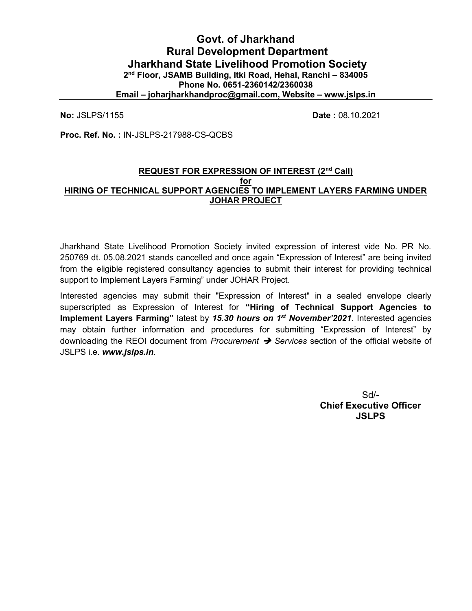# Govt. of Jharkhand Rural Development Department Jharkhand State Livelihood Promotion Society 2 nd Floor, JSAMB Building, Itki Road, Hehal, Ranchi – 834005 Phone No. 0651-2360142/2360038 Email – joharjharkhandproc@gmail.com, Website – www.jslps.in

No: JSLPS/1155 Date : 08.10.2021

Proc. Ref. No. : IN-JSLPS-217988-CS-QCBS

#### REQUEST FOR EXPRESSION OF INTEREST (2<sup>nd</sup> Call) for HIRING OF TECHNICAL SUPPORT AGENCIES TO IMPLEMENT LAYERS FARMING UNDER JOHAR PROJECT

Jharkhand State Livelihood Promotion Society invited expression of interest vide No. PR No. 250769 dt. 05.08.2021 stands cancelled and once again "Expression of Interest" are being invited from the eligible registered consultancy agencies to submit their interest for providing technical support to Implement Layers Farming" under JOHAR Project.

Interested agencies may submit their "Expression of Interest" in a sealed envelope clearly superscripted as Expression of Interest for "Hiring of Technical Support Agencies to Implement Layers Farming" latest by 15.30 hours on 1<sup>st</sup> November'2021. Interested agencies may obtain further information and procedures for submitting "Expression of Interest" by downloading the REOI document from *Procurement*  $\rightarrow$  Services section of the official website of JSLPS i.e. www.jslps.in.

> Sd/- Chief Executive Officer **JSLPS**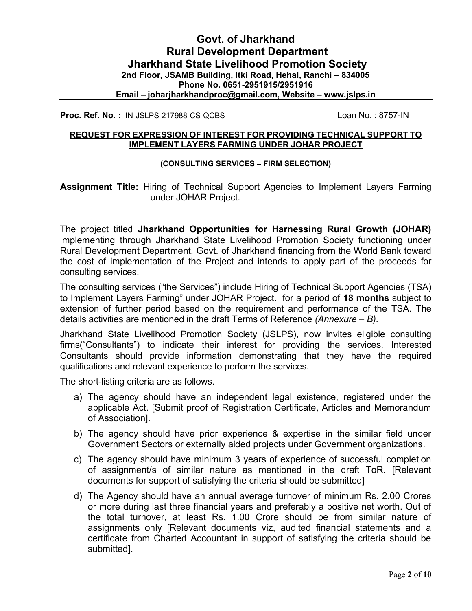# Govt. of Jharkhand Rural Development Department Jharkhand State Livelihood Promotion Society 2nd Floor, JSAMB Building, Itki Road, Hehal, Ranchi – 834005 Phone No. 0651-2951915/2951916 Email – joharjharkhandproc@gmail.com, Website – www.jslps.in

Proc. Ref. No.: IN-JSLPS-217988-CS-QCBS Loan No.: 8757-IN

### REQUEST FOR EXPRESSION OF INTEREST FOR PROVIDING TECHNICAL SUPPORT TO IMPLEMENT LAYERS FARMING UNDER JOHAR PROJECT

#### (CONSULTING SERVICES – FIRM SELECTION)

Assignment Title: Hiring of Technical Support Agencies to Implement Layers Farming under JOHAR Project.

The project titled Jharkhand Opportunities for Harnessing Rural Growth (JOHAR) implementing through Jharkhand State Livelihood Promotion Society functioning under Rural Development Department, Govt. of Jharkhand financing from the World Bank toward the cost of implementation of the Project and intends to apply part of the proceeds for consulting services.

The consulting services ("the Services") include Hiring of Technical Support Agencies (TSA) to Implement Layers Farming" under JOHAR Project. for a period of 18 months subject to extension of further period based on the requirement and performance of the TSA. The details activities are mentioned in the draft Terms of Reference (Annexure  $- B$ ).

Jharkhand State Livelihood Promotion Society (JSLPS), now invites eligible consulting firms("Consultants") to indicate their interest for providing the services. Interested Consultants should provide information demonstrating that they have the required qualifications and relevant experience to perform the services.

The short-listing criteria are as follows.

- a) The agency should have an independent legal existence, registered under the applicable Act. [Submit proof of Registration Certificate, Articles and Memorandum of Association].
- b) The agency should have prior experience & expertise in the similar field under Government Sectors or externally aided projects under Government organizations.
- c) The agency should have minimum 3 years of experience of successful completion of assignment/s of similar nature as mentioned in the draft ToR. [Relevant documents for support of satisfying the criteria should be submitted]
- d) The Agency should have an annual average turnover of minimum Rs. 2.00 Crores or more during last three financial years and preferably a positive net worth. Out of the total turnover, at least Rs. 1.00 Crore should be from similar nature of assignments only [Relevant documents viz, audited financial statements and a certificate from Charted Accountant in support of satisfying the criteria should be submitted].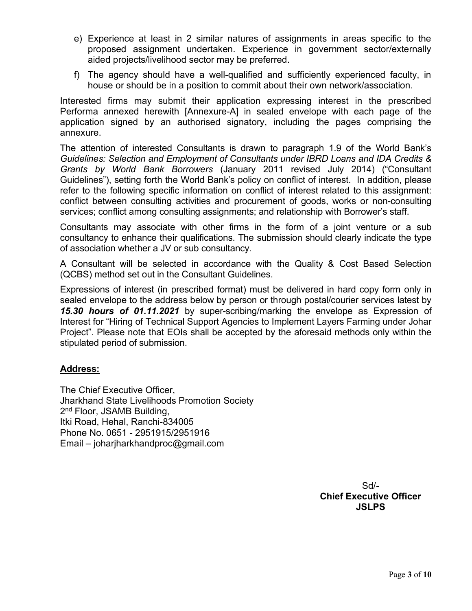- e) Experience at least in 2 similar natures of assignments in areas specific to the proposed assignment undertaken. Experience in government sector/externally aided projects/livelihood sector may be preferred.
- f) The agency should have a well-qualified and sufficiently experienced faculty, in house or should be in a position to commit about their own network/association.

Interested firms may submit their application expressing interest in the prescribed Performa annexed herewith [Annexure-A] in sealed envelope with each page of the application signed by an authorised signatory, including the pages comprising the annexure.

The attention of interested Consultants is drawn to paragraph 1.9 of the World Bank's Guidelines: Selection and Employment of Consultants under IBRD Loans and IDA Credits & Grants by World Bank Borrowers (January 2011 revised July 2014) ("Consultant Guidelines"), setting forth the World Bank's policy on conflict of interest. In addition, please refer to the following specific information on conflict of interest related to this assignment: conflict between consulting activities and procurement of goods, works or non-consulting services; conflict among consulting assignments; and relationship with Borrower's staff.

Consultants may associate with other firms in the form of a joint venture or a sub consultancy to enhance their qualifications. The submission should clearly indicate the type of association whether a JV or sub consultancy.

A Consultant will be selected in accordance with the Quality & Cost Based Selection (QCBS) method set out in the Consultant Guidelines.

Expressions of interest (in prescribed format) must be delivered in hard copy form only in sealed envelope to the address below by person or through postal/courier services latest by **15.30 hours of 01.11.2021** by super-scribing/marking the envelope as Expression of Interest for "Hiring of Technical Support Agencies to Implement Layers Farming under Johar Project". Please note that EOIs shall be accepted by the aforesaid methods only within the stipulated period of submission.

# Address:

The Chief Executive Officer, Jharkhand State Livelihoods Promotion Society 2<sup>nd</sup> Floor, JSAMB Building, Itki Road, Hehal, Ranchi-834005 Phone No. 0651 - 2951915/2951916 Email – joharjharkhandproc@gmail.com

> Sd/- Chief Executive Officer JSLPS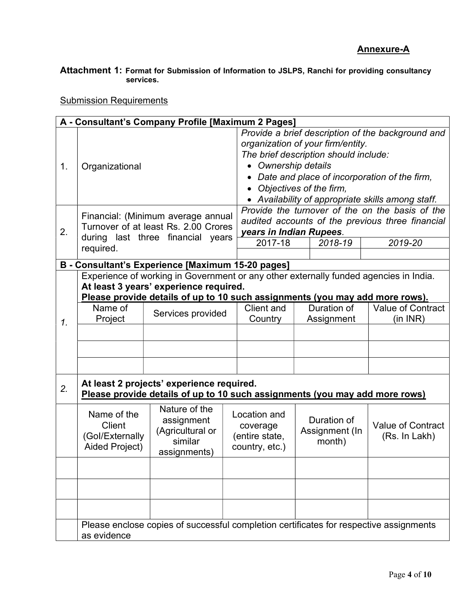### Attachment 1: Format for Submission of Information to JSLPS, Ranchi for providing consultancy services.

# **Submission Requirements**

|                                                                                   | A - Consultant's Company Profile [Maximum 2 Pages]                                     |                                                                                       |                                                   |                                           |                                                   |                                           |  |
|-----------------------------------------------------------------------------------|----------------------------------------------------------------------------------------|---------------------------------------------------------------------------------------|---------------------------------------------------|-------------------------------------------|---------------------------------------------------|-------------------------------------------|--|
|                                                                                   |                                                                                        |                                                                                       | Provide a brief description of the background and |                                           |                                                   |                                           |  |
| 1.                                                                                |                                                                                        |                                                                                       | organization of your firm/entity.                 |                                           |                                                   |                                           |  |
|                                                                                   |                                                                                        |                                                                                       |                                                   | The brief description should include:     |                                                   |                                           |  |
|                                                                                   | Organizational                                                                         | • Ownership details                                                                   |                                                   |                                           |                                                   |                                           |  |
|                                                                                   |                                                                                        |                                                                                       |                                                   |                                           | Date and place of incorporation of the firm,      |                                           |  |
|                                                                                   |                                                                                        | • Objectives of the firm,                                                             |                                                   |                                           |                                                   |                                           |  |
|                                                                                   |                                                                                        |                                                                                       |                                                   |                                           | • Availability of appropriate skills among staff. |                                           |  |
|                                                                                   |                                                                                        |                                                                                       |                                                   |                                           | Provide the turnover of the on the basis of the   |                                           |  |
|                                                                                   | Financial: (Minimum average annual<br>Turnover of at least Rs. 2.00 Crores             |                                                                                       |                                                   |                                           | audited accounts of the previous three financial  |                                           |  |
| 2.                                                                                | during last three financial years                                                      | years in Indian Rupees.                                                               |                                                   |                                           |                                                   |                                           |  |
|                                                                                   | required.                                                                              | 2017-18                                                                               |                                                   |                                           | 2019-20                                           |                                           |  |
|                                                                                   |                                                                                        |                                                                                       |                                                   |                                           |                                                   |                                           |  |
|                                                                                   |                                                                                        | B - Consultant's Experience [Maximum 15-20 pages]                                     |                                                   |                                           |                                                   |                                           |  |
|                                                                                   |                                                                                        | Experience of working in Government or any other externally funded agencies in India. |                                                   |                                           |                                                   |                                           |  |
|                                                                                   |                                                                                        | At least 3 years' experience required.                                                |                                                   |                                           |                                                   |                                           |  |
|                                                                                   |                                                                                        | Please provide details of up to 10 such assignments (you may add more rows).          |                                                   |                                           |                                                   |                                           |  |
|                                                                                   | Name of                                                                                | Services provided                                                                     | Client and                                        |                                           | Duration of                                       | <b>Value of Contract</b>                  |  |
| 1.                                                                                | Project                                                                                |                                                                                       | Country                                           |                                           | Assignment                                        | (in INR)                                  |  |
|                                                                                   |                                                                                        |                                                                                       |                                                   |                                           |                                                   |                                           |  |
|                                                                                   |                                                                                        |                                                                                       |                                                   |                                           |                                                   |                                           |  |
|                                                                                   |                                                                                        |                                                                                       |                                                   |                                           |                                                   |                                           |  |
|                                                                                   |                                                                                        |                                                                                       |                                                   |                                           |                                                   |                                           |  |
|                                                                                   | At least 2 projects' experience required.                                              |                                                                                       |                                                   |                                           |                                                   |                                           |  |
| 2.<br>Please provide details of up to 10 such assignments (you may add more rows) |                                                                                        |                                                                                       |                                                   |                                           |                                                   |                                           |  |
|                                                                                   |                                                                                        | Nature of the                                                                         |                                                   |                                           |                                                   |                                           |  |
|                                                                                   | Name of the                                                                            | assignment                                                                            | Location and                                      | Duration of<br>coverage<br>Assignment (In |                                                   | <b>Value of Contract</b><br>(Rs. In Lakh) |  |
|                                                                                   | <b>Client</b>                                                                          | (Agricultural or                                                                      |                                                   |                                           |                                                   |                                           |  |
|                                                                                   | (Gol/Externally                                                                        | similar                                                                               | (entire state,                                    |                                           | month)                                            |                                           |  |
|                                                                                   | Aided Project)                                                                         | assignments)                                                                          | country, etc.)                                    |                                           |                                                   |                                           |  |
|                                                                                   |                                                                                        |                                                                                       |                                                   |                                           |                                                   |                                           |  |
|                                                                                   |                                                                                        |                                                                                       |                                                   |                                           |                                                   |                                           |  |
|                                                                                   |                                                                                        |                                                                                       |                                                   |                                           |                                                   |                                           |  |
|                                                                                   |                                                                                        |                                                                                       |                                                   |                                           |                                                   |                                           |  |
|                                                                                   |                                                                                        |                                                                                       |                                                   |                                           |                                                   |                                           |  |
|                                                                                   | Please enclose copies of successful completion certificates for respective assignments |                                                                                       |                                                   |                                           |                                                   |                                           |  |
|                                                                                   | as evidence                                                                            |                                                                                       |                                                   |                                           |                                                   |                                           |  |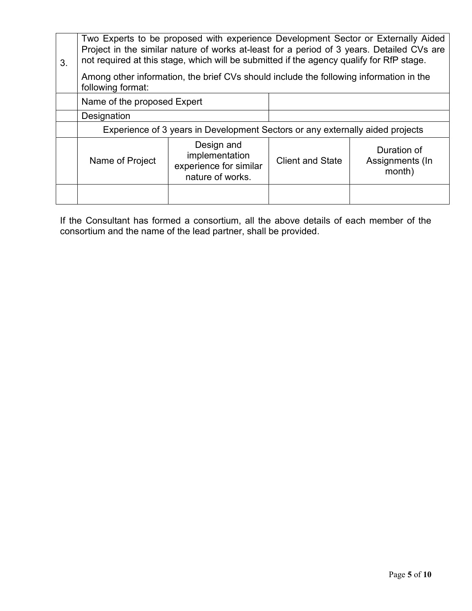| 3. | Two Experts to be proposed with experience Development Sector or Externally Aided<br>Project in the similar nature of works at-least for a period of 3 years. Detailed CVs are<br>not required at this stage, which will be submitted if the agency qualify for RfP stage. |                                                                            |                         |                                          |  |  |
|----|----------------------------------------------------------------------------------------------------------------------------------------------------------------------------------------------------------------------------------------------------------------------------|----------------------------------------------------------------------------|-------------------------|------------------------------------------|--|--|
|    | Among other information, the brief CVs should include the following information in the<br>following format:                                                                                                                                                                |                                                                            |                         |                                          |  |  |
|    | Name of the proposed Expert                                                                                                                                                                                                                                                |                                                                            |                         |                                          |  |  |
|    | Designation                                                                                                                                                                                                                                                                |                                                                            |                         |                                          |  |  |
|    | Experience of 3 years in Development Sectors or any externally aided projects                                                                                                                                                                                              |                                                                            |                         |                                          |  |  |
|    | Name of Project                                                                                                                                                                                                                                                            | Design and<br>implementation<br>experience for similar<br>nature of works. | <b>Client and State</b> | Duration of<br>Assignments (In<br>month) |  |  |
|    |                                                                                                                                                                                                                                                                            |                                                                            |                         |                                          |  |  |

If the Consultant has formed a consortium, all the above details of each member of the consortium and the name of the lead partner, shall be provided.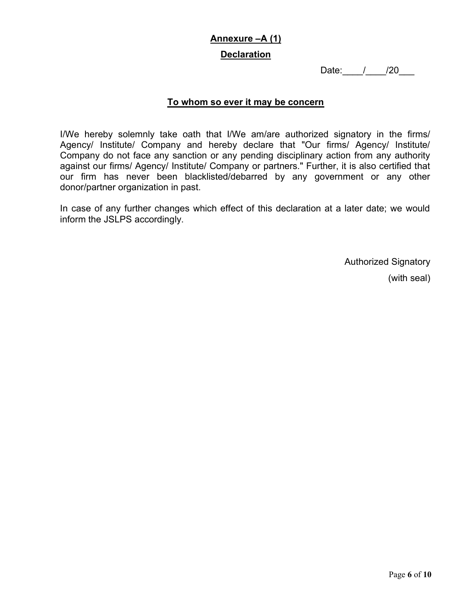# Annexure –A (1)

### Declaration

Date: / /20

### To whom so ever it may be concern

I/We hereby solemnly take oath that I/We am/are authorized signatory in the firms/ Agency/ Institute/ Company and hereby declare that "Our firms/ Agency/ Institute/ Company do not face any sanction or any pending disciplinary action from any authority against our firms/ Agency/ Institute/ Company or partners." Further, it is also certified that our firm has never been blacklisted/debarred by any government or any other donor/partner organization in past.

In case of any further changes which effect of this declaration at a later date; we would inform the JSLPS accordingly.

Authorized Signatory

(with seal)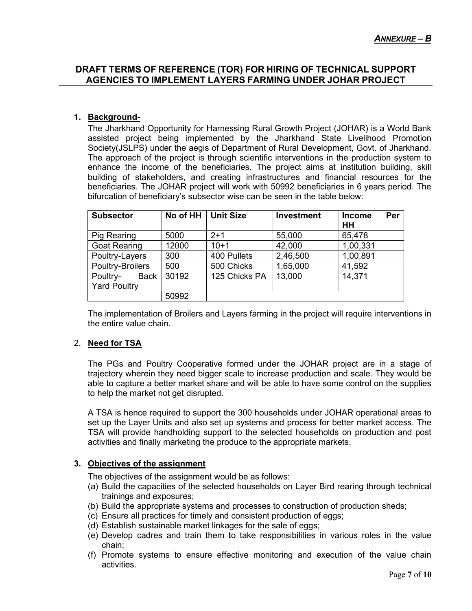# DRAFT TERMS OF REFERENCE (TOR) FOR HIRING OF TECHNICAL SUPPORT AGENCIES TO IMPLEMENT LAYERS FARMING UNDER JOHAR PROJECT

### 1. Background-

The Jharkhand Opportunity for Harnessing Rural Growth Project (JOHAR) is a World Bank assisted project being implemented by the Jharkhand State Livelihood Promotion Society(JSLPS) under the aegis of Department of Rural Development, Govt. of Jharkhand. The approach of the project is through scientific interventions in the production system to enhance the income of the beneficiaries. The project aims at institution building, skill building of stakeholders, and creating infrastructures and financial resources for the beneficiaries. The JOHAR project will work with 50992 beneficiaries in 6 years period. The bifurcation of beneficiary's subsector wise can be seen in the table below:

| <b>Subsector</b>        | No of $HH$ | <b>Unit Size</b> | <b>Investment</b> | <b>Income</b><br>HH | Per |
|-------------------------|------------|------------------|-------------------|---------------------|-----|
| <b>Pig Rearing</b>      | 5000       | $2+1$            | 55,000            | 65,478              |     |
| <b>Goat Rearing</b>     | 12000      | $10+1$           | 42,000            | 1,00,331            |     |
| Poultry-Layers          | 300        | 400 Pullets      | 2,46,500          | 1,00,891            |     |
| Poultry-Broilers        | 500        | 500 Chicks       | 1,65,000          | 41,592              |     |
| Poultry-<br><b>Back</b> | 30192      | 125 Chicks PA    | 13,000            | 14,371              |     |
| <b>Yard Poultry</b>     |            |                  |                   |                     |     |
|                         | 50992      |                  |                   |                     |     |

The implementation of Broilers and Layers farming in the project will require interventions in the entire value chain.

### 2. Need for TSA

The PGs and Poultry Cooperative formed under the JOHAR project are in a stage of trajectory wherein they need bigger scale to increase production and scale. They would be able to capture a better market share and will be able to have some control on the supplies to help the market not get disrupted.

A TSA is hence required to support the 300 households under JOHAR operational areas to set up the Layer Units and also set up systems and process for better market access. The TSA will provide handholding support to the selected households on production and post activities and finally marketing the produce to the appropriate markets.

#### 3. Objectives of the assignment

The objectives of the assignment would be as follows:

- (a) Build the capacities of the selected households on Layer Bird rearing through technical trainings and exposures;
- (b) Build the appropriate systems and processes to construction of production sheds;
- (c) Ensure all practices for timely and consistent production of eggs;
- (d) Establish sustainable market linkages for the sale of eggs;
- (e) Develop cadres and train them to take responsibilities in various roles in the value chain;
- (f) Promote systems to ensure effective monitoring and execution of the value chain activities.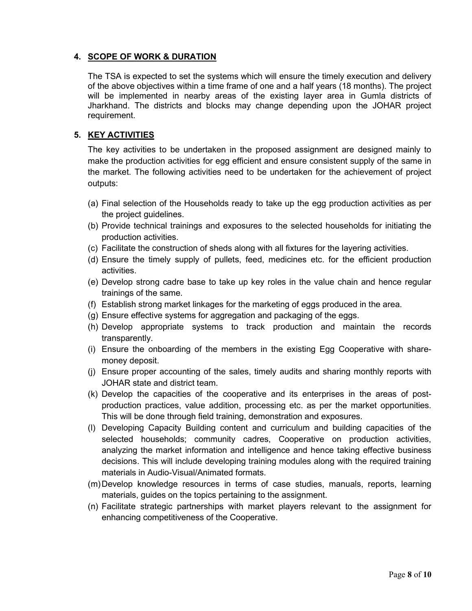### 4. SCOPE OF WORK & DURATION

The TSA is expected to set the systems which will ensure the timely execution and delivery of the above objectives within a time frame of one and a half years (18 months). The project will be implemented in nearby areas of the existing layer area in Gumla districts of Jharkhand. The districts and blocks may change depending upon the JOHAR project requirement.

### 5. KEY ACTIVITIES

The key activities to be undertaken in the proposed assignment are designed mainly to make the production activities for egg efficient and ensure consistent supply of the same in the market. The following activities need to be undertaken for the achievement of project outputs:

- (a) Final selection of the Households ready to take up the egg production activities as per the project guidelines.
- (b) Provide technical trainings and exposures to the selected households for initiating the production activities.
- (c) Facilitate the construction of sheds along with all fixtures for the layering activities.
- (d) Ensure the timely supply of pullets, feed, medicines etc. for the efficient production activities.
- (e) Develop strong cadre base to take up key roles in the value chain and hence regular trainings of the same.
- (f) Establish strong market linkages for the marketing of eggs produced in the area.
- (g) Ensure effective systems for aggregation and packaging of the eggs.
- (h) Develop appropriate systems to track production and maintain the records transparently.
- (i) Ensure the onboarding of the members in the existing Egg Cooperative with sharemoney deposit.
- (j) Ensure proper accounting of the sales, timely audits and sharing monthly reports with JOHAR state and district team.
- (k) Develop the capacities of the cooperative and its enterprises in the areas of postproduction practices, value addition, processing etc. as per the market opportunities. This will be done through field training, demonstration and exposures.
- (l) Developing Capacity Building content and curriculum and building capacities of the selected households; community cadres, Cooperative on production activities, analyzing the market information and intelligence and hence taking effective business decisions. This will include developing training modules along with the required training materials in Audio-Visual/Animated formats.
- (m) Develop knowledge resources in terms of case studies, manuals, reports, learning materials, guides on the topics pertaining to the assignment.
- (n) Facilitate strategic partnerships with market players relevant to the assignment for enhancing competitiveness of the Cooperative.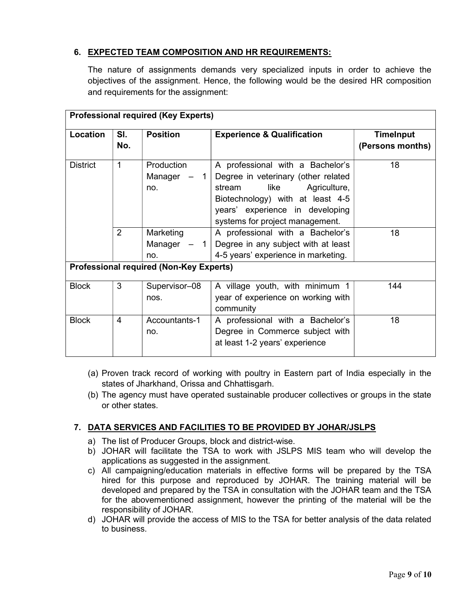# 6. EXPECTED TEAM COMPOSITION AND HR REQUIREMENTS:

The nature of assignments demands very specialized inputs in order to achieve the objectives of the assignment. Hence, the following would be the desired HR composition and requirements for the assignment:

| <b>Professional required (Key Experts)</b>     |                                                                        |               |                                                    |     |  |  |
|------------------------------------------------|------------------------------------------------------------------------|---------------|----------------------------------------------------|-----|--|--|
| Location                                       | SI.<br><b>Position</b><br><b>Experience &amp; Qualification</b><br>No. |               | <b>TimeInput</b><br>(Persons months)               |     |  |  |
|                                                |                                                                        |               |                                                    |     |  |  |
| <b>District</b>                                | 1                                                                      | Production    | A professional with a Bachelor's                   | 18  |  |  |
|                                                |                                                                        | Manager $-1$  | Degree in veterinary (other related                |     |  |  |
|                                                |                                                                        | no.           | like Agriculture,<br>stream                        |     |  |  |
|                                                |                                                                        |               | Biotechnology) with at least 4-5                   |     |  |  |
|                                                |                                                                        |               | years' experience in developing                    |     |  |  |
|                                                |                                                                        |               | systems for project management.                    |     |  |  |
|                                                | 2                                                                      | Marketing     | A professional with a Bachelor's                   | 18  |  |  |
|                                                |                                                                        |               | Manager $-1$   Degree in any subject with at least |     |  |  |
|                                                |                                                                        | no.           | 4-5 years' experience in marketing.                |     |  |  |
| <b>Professional required (Non-Key Experts)</b> |                                                                        |               |                                                    |     |  |  |
| <b>Block</b>                                   | 3                                                                      | Supervisor-08 | A village youth, with minimum 1                    | 144 |  |  |
|                                                |                                                                        | nos.          | year of experience on working with                 |     |  |  |
|                                                |                                                                        |               | community                                          |     |  |  |
| <b>Block</b>                                   | 4                                                                      | Accountants-1 | A professional with a Bachelor's                   | 18  |  |  |
|                                                |                                                                        | no.           | Degree in Commerce subject with                    |     |  |  |
|                                                |                                                                        |               | at least 1-2 years' experience                     |     |  |  |
|                                                |                                                                        |               |                                                    |     |  |  |

- (a) Proven track record of working with poultry in Eastern part of India especially in the states of Jharkhand, Orissa and Chhattisgarh.
- (b) The agency must have operated sustainable producer collectives or groups in the state or other states.

## 7. DATA SERVICES AND FACILITIES TO BE PROVIDED BY JOHAR/JSLPS

- a) The list of Producer Groups, block and district-wise.
- b) JOHAR will facilitate the TSA to work with JSLPS MIS team who will develop the applications as suggested in the assignment.
- c) All campaigning/education materials in effective forms will be prepared by the TSA hired for this purpose and reproduced by JOHAR. The training material will be developed and prepared by the TSA in consultation with the JOHAR team and the TSA for the abovementioned assignment, however the printing of the material will be the responsibility of JOHAR.
- d) JOHAR will provide the access of MIS to the TSA for better analysis of the data related to business.